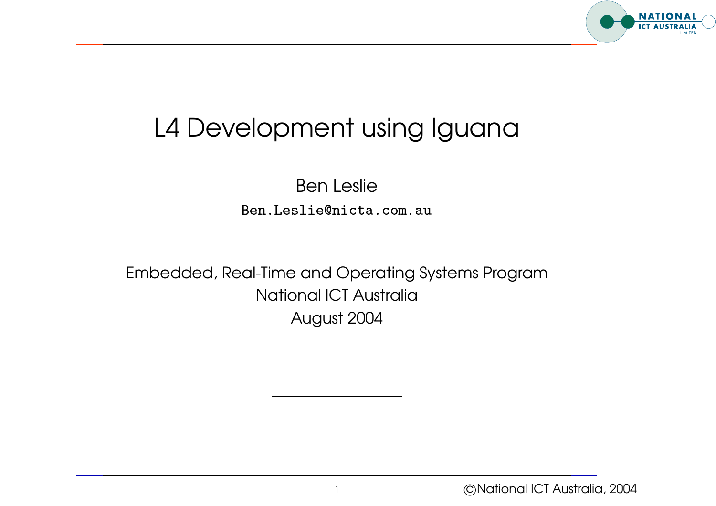

## L4 Development using Iguana

 $\ddot{\phantom{a}}$   $\overline{a}$  $\begin{bmatrix} 1 \\ 1 \\ 1 \end{bmatrix}$  $\begin{bmatrix} 1 & 1 \\ 1 & 1 \\ 1 & 1 \end{bmatrix}$  $\frac{1}{2}$  $\ddot{\phantom{0}}$  $\frac{1}{2}$   $\overline{a}$  $\overline{a}$   $\ddot{\phantom{0}}$  $\ddot{\phantom{0}}$  $\ddot{\phantom{0}}$  $\ddot{\phantom{0}}$  $\overline{a}$  $\overline{a}$  Ben Leslie Ben.Leslie@nicta.com.au --

Embedded, Real-Time and Operating Systems Program National ICT Australia August 2004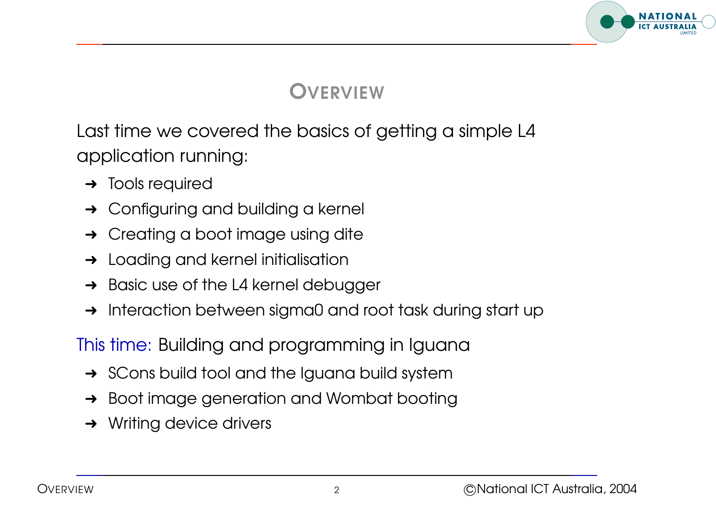

#### **VERVIEW**

Last time we covered the basics of getting <sup>a</sup> simple L4 application running:

- $\rightarrow$  Tools required
- **→** Configuring and building a kernel
- **→** Creating a boot image using dite
- $\rightarrow$  Loading and kernel initialisation
- $\rightarrow$  Basic use of the L4 kernel debugger
- → Interaction between sigma0 and root task during start up

This time: Building and programming in Iguana

- $\rightarrow$  SCons build tool and the Iguana build system
- **→** Boot image generation and Wombat booting
- $\rightarrow$  Writing device drivers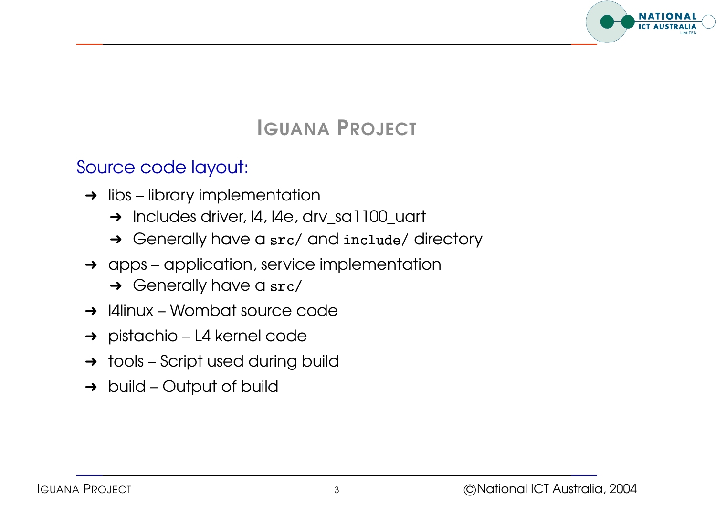

## IGUANA PROJECT

#### Source code layout:

- $\rightarrow$  libs library implementation
	- → Includes driver, 14, 14e, drv\_sa1100\_uart
	- → Generally have a src/ and include/ directory
- $\rightarrow$  apps application, service implementation → Generally have a src<br>apps – application, servi<br>→ Generally have a src
	-
- $\rightarrow$  14 linux Wombat source code
- ➜ pistachio L4 kernel code
- $\rightarrow$  tools Script used during build
- $\rightarrow$  build Output of build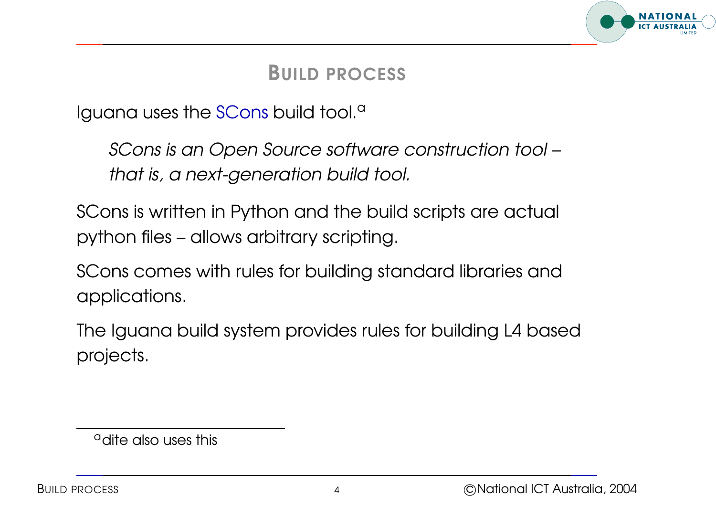

#### BUILD PROCESS

Iguana uses the SCons build tool.<sup>a</sup>

SCons is an Open Source software construction tool – that is, <sup>a</sup> next-generation build tool.

SCons is written in Python and the build scripts are actual python files – allows arbitrary scripting.

SCons comes with rules for building standard libraries and applications.

The Iguana build system provides rules for building L4 based projects.

<sup>&</sup>lt;sup>a</sup>dite also uses this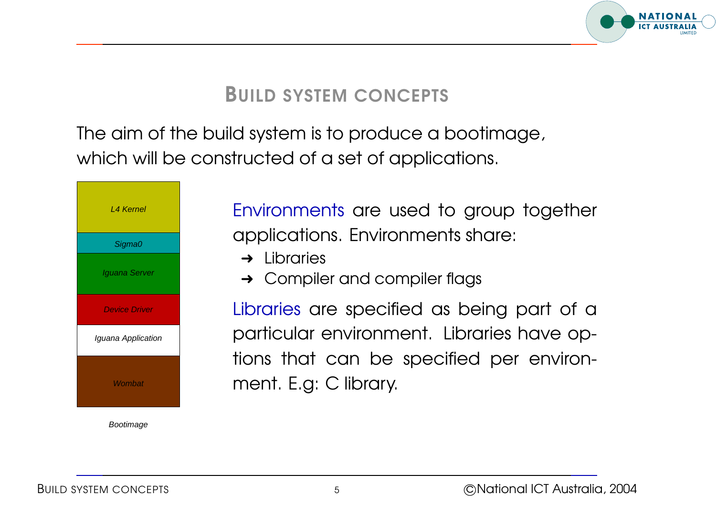

#### BUILD SYSTEM CONCEPTS

The aim of the build system is to produce <sup>a</sup> bootimage, which will be constructed of <sup>a</sup> set of applications.



Bootimage

Environments are used to group together applications. Environments share:

- $\rightarrow$  Libraries
- **→** Compiler and compiler flags

Libraries are specified as being part of <sup>a</sup> particular environment. Libraries have options that can be specified per environment. E.g: C library.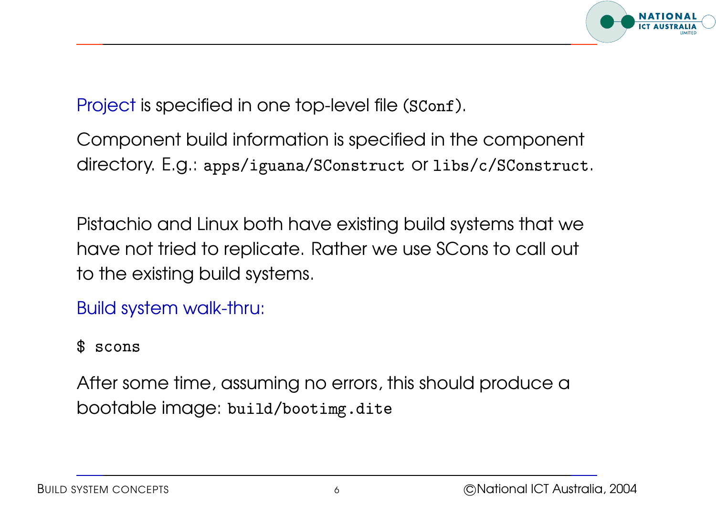

Project is specified in one top-level file (SConf).  $\frac{1}{1}$  $\overline{a}$ - $\begin{bmatrix} 1 \\ 1 \\ 1 \end{bmatrix}$ 

Component build information is specified in the component directory. E.g.: apps/iguana/SConstruct or libs/c/SConstruct. .<br>.<br>.<br>.  $\ddot{\phantom{a}}$   $\overline{a}$  $\begin{bmatrix} 1 & 1 \\ 1 & 1 \\ 1 & 1 \end{bmatrix}$ l  $\ddot{\phantom{a}}$ .<br>.<br>. .<br>.<br>.  $\begin{bmatrix} 1 \\ 1 \\ 1 \end{bmatrix}$  $\begin{bmatrix} 1 \\ 1 \\ 1 \\ 1 \end{bmatrix}$ י<br>י  $\ddot{\phantom{0}}$ -.<br>.<br>.<br>.  $\ddot{\phantom{0}}$  $\begin{array}{c} \begin{array}{c} \begin{array}{c} \end{array}\\ \begin{array}{c} \end{array} \end{array} \end{array}$  $\ddot{\phantom{a}}$ .<br>.<br>.  $\ddot{\phantom{0}}$   $\begin{bmatrix} 1 \\ 1 \\ 1 \end{bmatrix}$  $\begin{array}{c} \begin{array}{c} \begin{array}{c} \begin{array}{c} \end{array}\\ \begin{array}{c} \end{array} \end{array} \end{array} \end{array} \end{array}$  $\frac{1}{2}$  $\ddot{\phantom{0}}$   $\frac{1}{2}$  $\frac{1}{1}$  $\overline{a}$ - $\ddot{\phantom{0}}$  $\overline{a}$  $\ddot{\phantom{0}}$  $\frac{1}{2}$ ֖֖֖ׅׅ֪֪ׅ֖ׅ֖ׅ֖֖ׅ֖֖֖ׅ֖֧֖ׅ֖֧֚֚֚֚֚֚֚֬֝֬֝֬֝֬֝֝֬֝֬֝֬֝֬֝֬֝֬֝֬֝֬֝֬֝֬֝֬֝֬֝֬֝֬֝֬֝֬֝֬֝֬֝֬֝֬֝֬֝֬֝֬֝֬֝֬  $\overline{a}$  

Pistachio and Linux both have existing build systems that we have not tried to replicate. Rather we use SCons to call out to the existing build systems.

Build system walk-thru:  $\begin{array}{c} \n\downarrow \\ \n\downarrow \\ \n\downarrow \n\end{array}$  י<br>ו .<br>.<br>.

 $s$  scons -

After some time, assuming no errors, this should produce <sup>a</sup> bootable image:  $\ddot{\phantom{a}}$  $\ddot{\phantom{a}}$  $\begin{array}{c} \n\frac{1}{2} \n\end{array}$  $\overline{a}$  $\frac{1}{2}$  -- $\overline{a}$  $\begin{array}{c} \begin{array}{c} \begin{array}{c} \begin{array}{c} \end{array}\\ \end{array} \end{array} \end{array} \end{array}$   $\overline{\phantom{a}}$  $\overline{a}$  $\ddot{\phantom{0}}$  $\frac{1}{2}$  $\ddot{\phantom{a}}$  $\overline{a}$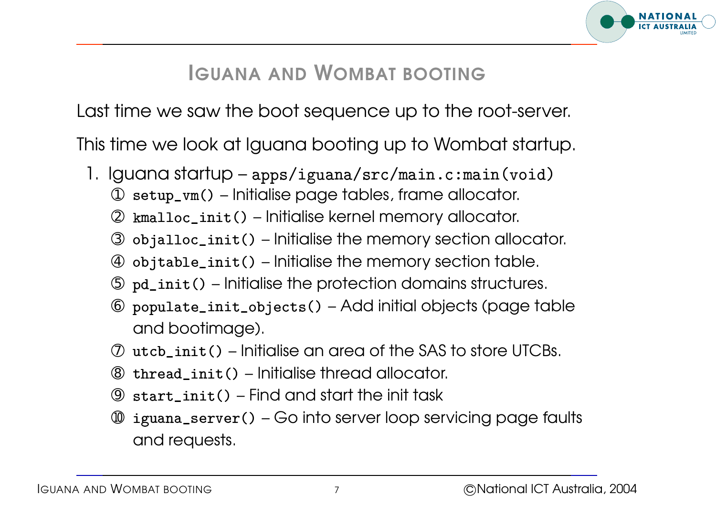

## IGUANA AND WOMBAT BOOTING

Last time we saw the boot sequence up to the root-server.

This time we look at Iguana booting up to Wombat startup. ast time we saw the boot sequence up to the root-serv<br>his time we look at Iguana booting up to Wombat start<br>1. Iguana startup – apps/iguana/src/main.c:main(void

- guana s<br>① setup\_<br>② kmallo
	- $\textcircled{\tiny{1}}$  setup\_vm() Initialise page tables, frame allocator.
	- init () Initialise kernel memory allocator.
	- $\circled{3}$ jalloc\_init() – Initialise the memory section allocator.
	- $\circled{4}$ jtable\_init() – Initialise the memory section table.
	- $\circledcirc$   $\,$   $_{\rm pd\_init}$  () Initialise the protection domains structures.
	- © populate\_init\_objects() Add initial objects (page table and bootimage). .<br>.<br>.
	- $\oslash$  <code>utcb\_init()</code> Initialise an area of the SAS to store UTCBs.
	- ➇ -- Initialise thread allocator.
	- ➈ - Find and start the init task
	- $^{\circledR}~$  iguana\_server() Go into server loop servicing page faults and requests.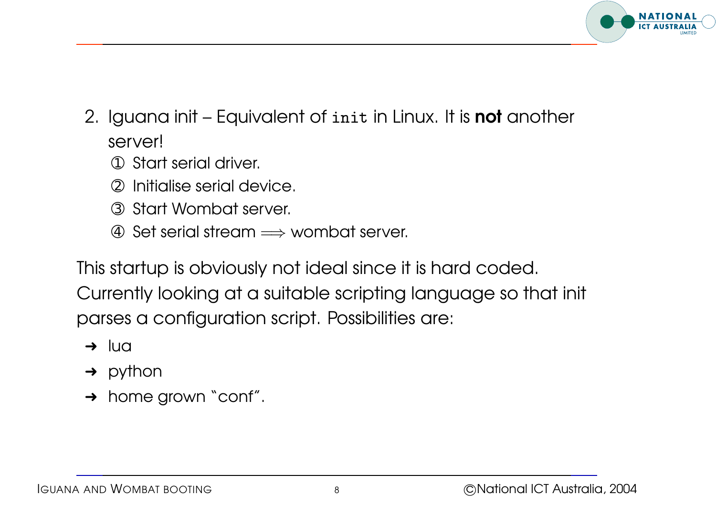

- 2. Iguana init Equivalent of  $\mathtt{init}$  in Linux. It is **not** another  $\frac{1}{2}$  $\ddot{\phantom{a}}$  $\overline{\phantom{a}}$ server!
	- ➀ Start serial driver.
	- ➁ Initialise serial device.
	- ➂ Start Wombat server.
	- ➃ Set serial stream <sup>=</sup><sup>⇒</sup> wombat server.

This startup is obviously not ideal since it is hard coded. Currently looking at <sup>a</sup> suitable scripting language so that init parses <sup>a</sup> configuration script. Possibilities are:

- $\rightarrow$  lua
- $\rightarrow$  python
- → home grown "conf".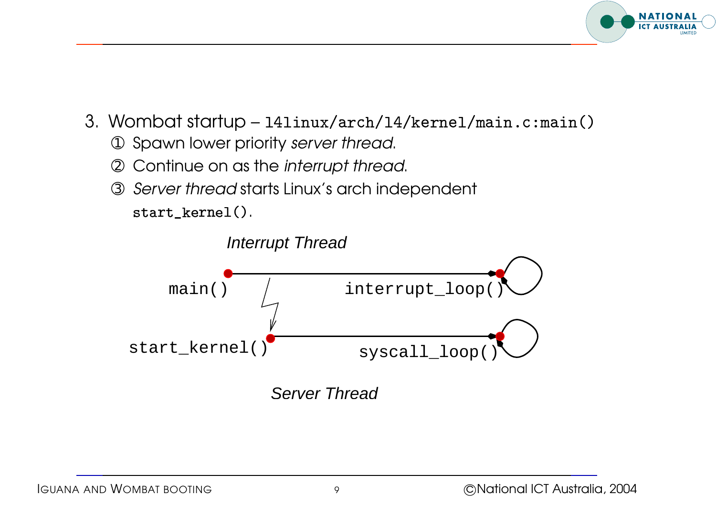

- a.<br>
Wombat startup 141inux/arch/14/kernel/main.c:main(
	- ➀ Spawn lower priority server thread.
	- ➁ Continue on as the interrupt thread.
	- ➂ Server thread starts Linux's arch independent <code>start\_kernel()</code>.  $\ddot{\phantom{a}}$  $\frac{1}{2}$

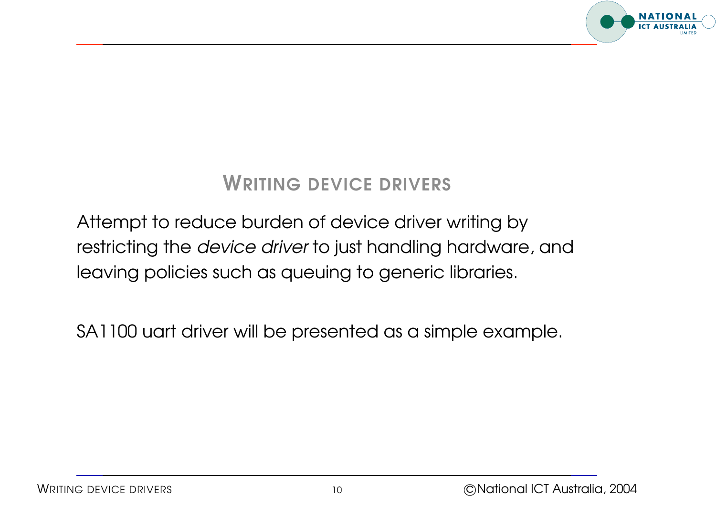

#### WRITING DEVICE DRIVERS

## Attempt to reduce burden of device driver writing by restricting the device driver to just handling hardware, and leaving policies such as queuing to generic libraries.

SA1100 uart driver will be presented as <sup>a</sup> simple example.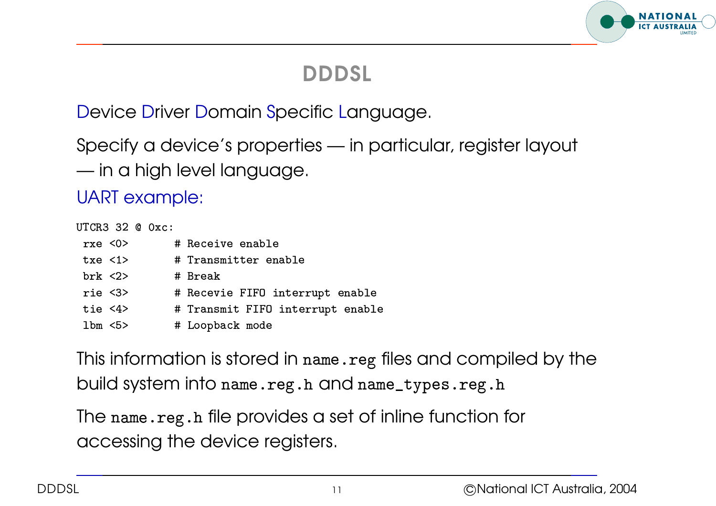# **NATIONA**

## DDDSL

Device Driver Domain Specific Language.

Specify <sup>a</sup> device's properties — in particular, register layout  $\mathcal{L}^{\text{max}}$ in <sup>a</sup> high level language.

| UART example:     |                                  |
|-------------------|----------------------------------|
| UTCR3 32 @ Oxc:   |                                  |
| rxe < 0           | # Receive enable                 |
| txe < 1           | # Transmitter enable             |
| brk < 2           | # Break                          |
| rie <sub>3</sub>  | # Recevie FIFO interrupt enable  |
| tie $<4>$         | # Transmit FIFO interrupt enable |
| $1 \text{bm} < 5$ | # Loopback mode                  |

This information is stored in  $\operatorname*{name}.\operatorname*{reg}$  files and compiled by the build system into  $\texttt{name} \texttt{.reg.h}$  and  $\texttt{name\_types} \texttt{.reg.}$ 

The  $\mathtt{name}$  . $\mathtt{reg.h}$  file provides a set of inline function for accessing the device registers.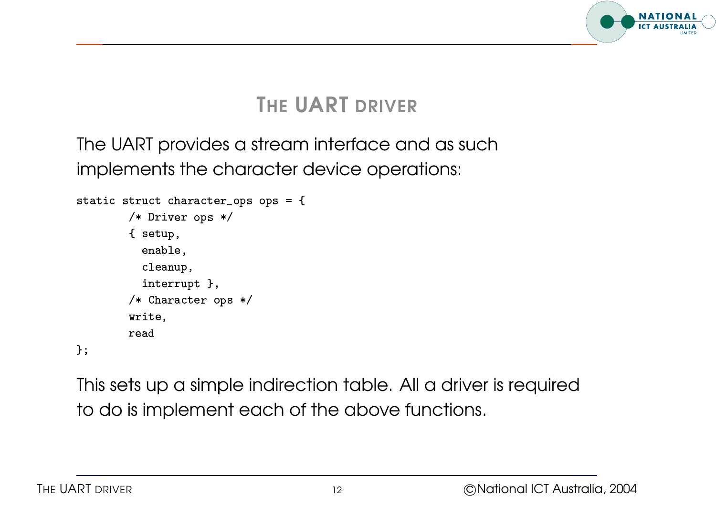

## THE UART DRIVER

The UART provides <sup>a</sup> stream interface and as such implements the character device operations:  $\frac{1}{2}$  in the processes implements the constants the constants that  $\frac{1}{2}$  $\begin{array}{c} \n\end{array}$  $\ddot{\phantom{a}}$ 

```
ops ops
                         II<del>C</del>IIIS III<del>C</del> CI<br>truct character<br>/* Driver ops *
                         truct cl<br>/* Drive<br>{ setup
                        % Driver ops */<br>{ setup,<br>enable,
                              cleanup,
                              interrupt },
                         enable,<br>cleanup,<br>interrupt },<br>/* Character ops *
                         tres<br>inte<br>/* Cha<br>write
                         1<br>/*<br>wri<br>rea
\};
```
This sets up <sup>a</sup> simple indirection table. All <sup>a</sup> driver is required to do is implement each of the above functions.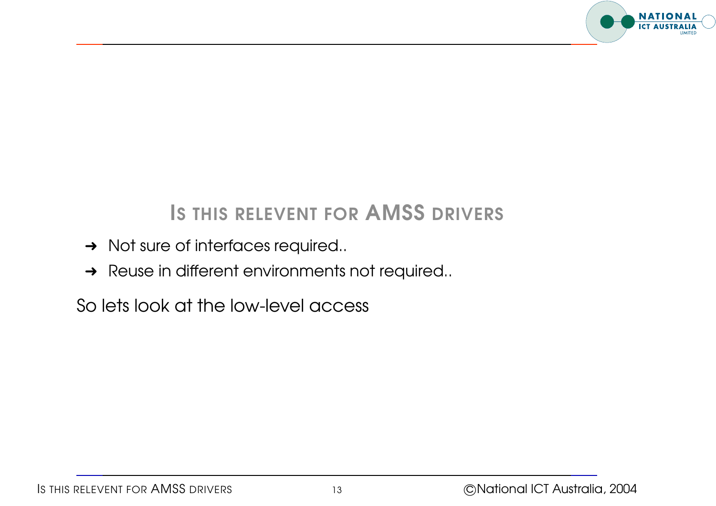

## IS THIS RELEVENT FOR AMSS DRIVERS

- **→ Not sure of interfaces required..**
- **→** Reuse in different environments not required..

So lets look at the low-level access